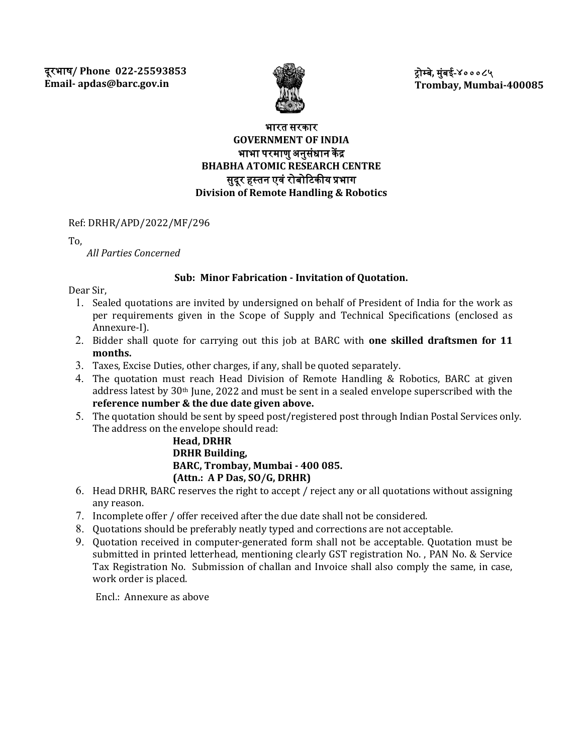

�ोम्बे**,** मुंबई**-**४०००८५ **Trombay, Mumbai-400085**

# भारत सरकार **GOVERNMENT OF INDIA** भाभा परमाणु अनुसंधान केंद्र **BHABHA ATOMIC RESEARCH CENTRE** सुदूर हस्तन एवं रोबोटिकीय प्रभाग **Division of Remote Handling & Robotics**

Ref: DRHR/APD/2022/MF/296

To,

*All Parties Concerned*

# **Sub: Minor Fabrication - Invitation of Quotation.**

Dear Sir,

- 1. Sealed quotations are invited by undersigned on behalf of President of India for the work as per requirements given in the Scope of Supply and Technical Specifications (enclosed as Annexure-I).
- 2. Bidder shall quote for carrying out this job at BARC with **one skilled draftsmen for 11 months.**
- 3. Taxes, Excise Duties, other charges, if any, shall be quoted separately.
- 4. The quotation must reach Head Division of Remote Handling & Robotics, BARC at given address latest by 30th June, 2022 and must be sent in a sealed envelope superscribed with the **reference number & the due date given above.**
- 5. The quotation should be sent by speed post/registered post through Indian Postal Services only. The address on the envelope should read:

**Head, DRHR DRHR Building, BARC, Trombay, Mumbai - 400 085. (Attn.: A P Das, SO/G, DRHR)** 

- 6. Head DRHR, BARC reserves the right to accept / reject any or all quotations without assigning any reason.
- 7. Incomplete offer / offer received after the due date shall not be considered.
- 8. Quotations should be preferably neatly typed and corrections are not acceptable.
- 9. Quotation received in computer-generated form shall not be acceptable. Quotation must be submitted in printed letterhead, mentioning clearly GST registration No., PAN No. & Service Tax Registration No. Submission of challan and Invoice shall also comply the same, in case, work order is placed.

Encl.: Annexure as above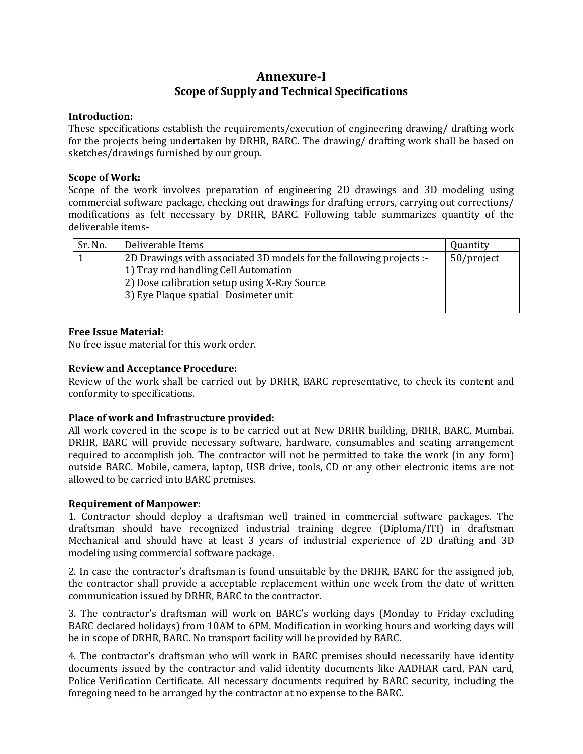# **Annexure-I Scope of Supply and Technical Specifications**

#### **Introduction:**

These specifications establish the requirements/execution of engineering drawing/ drafting work for the projects being undertaken by DRHR, BARC. The drawing/ drafting work shall be based on sketches/drawings furnished by our group.

# **Scope of Work:**

Scope of the work involves preparation of engineering 2D drawings and 3D modeling using commercial software package, checking out drawings for drafting errors, carrying out corrections/ modifications as felt necessary by DRHR, BARC. Following table summarizes quantity of the deliverable items-

| Sr. No. | Deliverable Items                                                   | Quantity   |
|---------|---------------------------------------------------------------------|------------|
|         | 2D Drawings with associated 3D models for the following projects :- | 50/project |
|         | 1) Tray rod handling Cell Automation                                |            |
|         | 2) Dose calibration setup using X-Ray Source                        |            |
|         | 3) Eye Plaque spatial Dosimeter unit                                |            |
|         |                                                                     |            |

## **Free Issue Material:**

No free issue material for this work order.

## **Review and Acceptance Procedure:**

Review of the work shall be carried out by DRHR, BARC representative, to check its content and conformity to specifications.

## **Place of work and Infrastructure provided:**

All work covered in the scope is to be carried out at New DRHR building, DRHR, BARC, Mumbai. DRHR, BARC will provide necessary software, hardware, consumables and seating arrangement required to accomplish job. The contractor will not be permitted to take the work (in any form) outside BARC. Mobile, camera, laptop, USB drive, tools, CD or any other electronic items are not allowed to be carried into BARC premises.

## **Requirement of Manpower:**

1. Contractor should deploy a draftsman well trained in commercial software packages. The draftsman should have recognized industrial training degree (Diploma/ITI) in draftsman Mechanical and should have at least 3 years of industrial experience of 2D drafting and 3D modeling using commercial software package.

2. In case the contractor's draftsman is found unsuitable by the DRHR, BARC for the assigned job, the contractor shall provide a acceptable replacement within one week from the date of written communication issued by DRHR, BARC to the contractor.

3. The contractor's draftsman will work on BARC's working days (Monday to Friday excluding BARC declared holidays) from 10AM to 6PM. Modification in working hours and working days will be in scope of DRHR, BARC. No transport facility will be provided by BARC.

4. The contractor's draftsman who will work in BARC premises should necessarily have identity documents issued by the contractor and valid identity documents like AADHAR card, PAN card, Police Verification Certificate. All necessary documents required by BARC security, including the foregoing need to be arranged by the contractor at no expense to the BARC.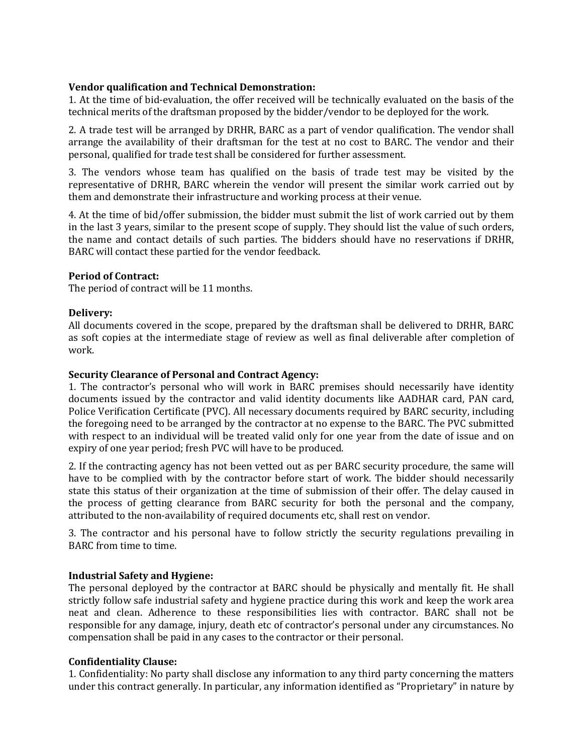# **Vendor qualification and Technical Demonstration:**

1. At the time of bid-evaluation, the offer received will be technically evaluated on the basis of the technical merits of the draftsman proposed by the bidder/vendor to be deployed for the work.

2. A trade test will be arranged by DRHR, BARC as a part of vendor qualification. The vendor shall arrange the availability of their draftsman for the test at no cost to BARC. The vendor and their personal, qualified for trade test shall be considered for further assessment.

3. The vendors whose team has qualified on the basis of trade test may be visited by the representative of DRHR, BARC wherein the vendor will present the similar work carried out by them and demonstrate their infrastructure and working process at their venue.

4. At the time of bid/offer submission, the bidder must submit the list of work carried out by them in the last 3 years, similar to the present scope of supply. They should list the value of such orders, the name and contact details of such parties. The bidders should have no reservations if DRHR, BARC will contact these partied for the vendor feedback.

# **Period of Contract:**

The period of contract will be 11 months.

# **Delivery:**

All documents covered in the scope, prepared by the draftsman shall be delivered to DRHR, BARC as soft copies at the intermediate stage of review as well as final deliverable after completion of work.

# **Security Clearance of Personal and Contract Agency:**

1. The contractor's personal who will work in BARC premises should necessarily have identity documents issued by the contractor and valid identity documents like AADHAR card, PAN card, Police Verification Certificate (PVC). All necessary documents required by BARC security, including the foregoing need to be arranged by the contractor at no expense to the BARC. The PVC submitted with respect to an individual will be treated valid only for one year from the date of issue and on expiry of one year period; fresh PVC will have to be produced.

2. If the contracting agency has not been vetted out as per BARC security procedure, the same will have to be complied with by the contractor before start of work. The bidder should necessarily state this status of their organization at the time of submission of their offer. The delay caused in the process of getting clearance from BARC security for both the personal and the company, attributed to the non-availability of required documents etc, shall rest on vendor.

3. The contractor and his personal have to follow strictly the security regulations prevailing in BARC from time to time.

## **Industrial Safety and Hygiene:**

The personal deployed by the contractor at BARC should be physically and mentally fit. He shall strictly follow safe industrial safety and hygiene practice during this work and keep the work area neat and clean. Adherence to these responsibilities lies with contractor. BARC shall not be responsible for any damage, injury, death etc of contractor's personal under any circumstances. No compensation shall be paid in any cases to the contractor or their personal.

## **Confidentiality Clause:**

1. Confidentiality: No party shall disclose any information to any third party concerning the matters under this contract generally. In particular, any information identified as "Proprietary" in nature by